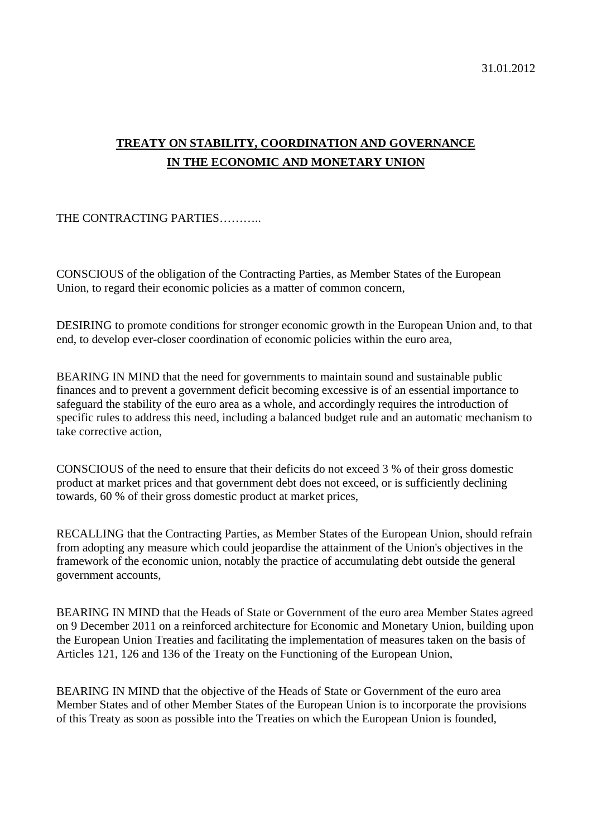# **TREATY ON STABILITY, COORDINATION AND GOVERNANCE IN THE ECONOMIC AND MONETARY UNION**

# THE CONTRACTING PARTIES………..

CONSCIOUS of the obligation of the Contracting Parties, as Member States of the European Union, to regard their economic policies as a matter of common concern,

DESIRING to promote conditions for stronger economic growth in the European Union and, to that end, to develop ever-closer coordination of economic policies within the euro area,

BEARING IN MIND that the need for governments to maintain sound and sustainable public finances and to prevent a government deficit becoming excessive is of an essential importance to safeguard the stability of the euro area as a whole, and accordingly requires the introduction of specific rules to address this need, including a balanced budget rule and an automatic mechanism to take corrective action,

CONSCIOUS of the need to ensure that their deficits do not exceed 3 % of their gross domestic product at market prices and that government debt does not exceed, or is sufficiently declining towards, 60 % of their gross domestic product at market prices,

RECALLING that the Contracting Parties, as Member States of the European Union, should refrain from adopting any measure which could jeopardise the attainment of the Union's objectives in the framework of the economic union, notably the practice of accumulating debt outside the general government accounts,

BEARING IN MIND that the Heads of State or Government of the euro area Member States agreed on 9 December 2011 on a reinforced architecture for Economic and Monetary Union, building upon the European Union Treaties and facilitating the implementation of measures taken on the basis of Articles 121, 126 and 136 of the Treaty on the Functioning of the European Union,

BEARING IN MIND that the objective of the Heads of State or Government of the euro area Member States and of other Member States of the European Union is to incorporate the provisions of this Treaty as soon as possible into the Treaties on which the European Union is founded,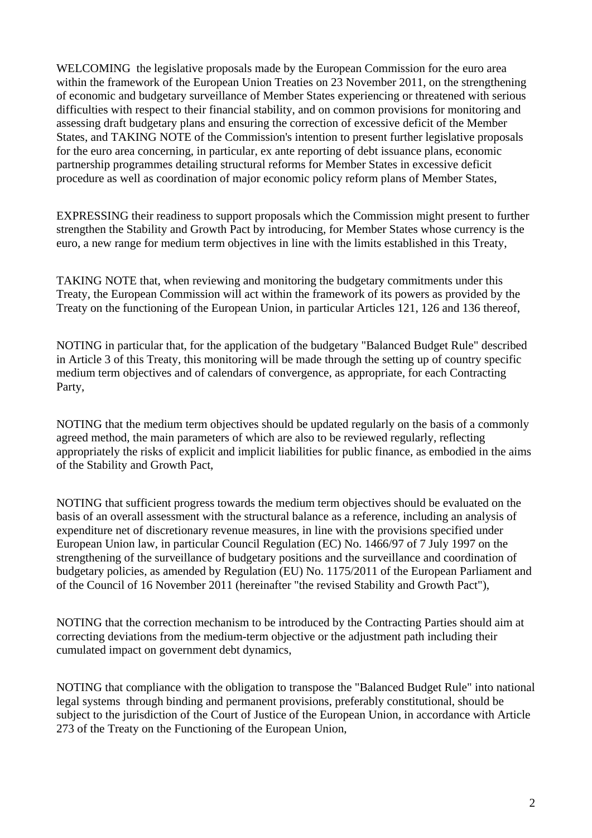WELCOMING the legislative proposals made by the European Commission for the euro area within the framework of the European Union Treaties on 23 November 2011, on the strengthening of economic and budgetary surveillance of Member States experiencing or threatened with serious difficulties with respect to their financial stability, and on common provisions for monitoring and assessing draft budgetary plans and ensuring the correction of excessive deficit of the Member States, and TAKING NOTE of the Commission's intention to present further legislative proposals for the euro area concerning, in particular, ex ante reporting of debt issuance plans, economic partnership programmes detailing structural reforms for Member States in excessive deficit procedure as well as coordination of major economic policy reform plans of Member States,

EXPRESSING their readiness to support proposals which the Commission might present to further strengthen the Stability and Growth Pact by introducing, for Member States whose currency is the euro, a new range for medium term objectives in line with the limits established in this Treaty,

TAKING NOTE that, when reviewing and monitoring the budgetary commitments under this Treaty, the European Commission will act within the framework of its powers as provided by the Treaty on the functioning of the European Union, in particular Articles 121, 126 and 136 thereof,

NOTING in particular that, for the application of the budgetary "Balanced Budget Rule" described in Article 3 of this Treaty, this monitoring will be made through the setting up of country specific medium term objectives and of calendars of convergence, as appropriate, for each Contracting Party,

NOTING that the medium term objectives should be updated regularly on the basis of a commonly agreed method, the main parameters of which are also to be reviewed regularly, reflecting appropriately the risks of explicit and implicit liabilities for public finance, as embodied in the aims of the Stability and Growth Pact,

NOTING that sufficient progress towards the medium term objectives should be evaluated on the basis of an overall assessment with the structural balance as a reference, including an analysis of expenditure net of discretionary revenue measures, in line with the provisions specified under European Union law, in particular Council Regulation (EC) No. 1466/97 of 7 July 1997 on the strengthening of the surveillance of budgetary positions and the surveillance and coordination of budgetary policies, as amended by Regulation (EU) No. 1175/2011 of the European Parliament and of the Council of 16 November 2011 (hereinafter "the revised Stability and Growth Pact"),

NOTING that the correction mechanism to be introduced by the Contracting Parties should aim at correcting deviations from the medium-term objective or the adjustment path including their cumulated impact on government debt dynamics,

NOTING that compliance with the obligation to transpose the "Balanced Budget Rule" into national legal systems through binding and permanent provisions, preferably constitutional, should be subject to the jurisdiction of the Court of Justice of the European Union, in accordance with Article 273 of the Treaty on the Functioning of the European Union,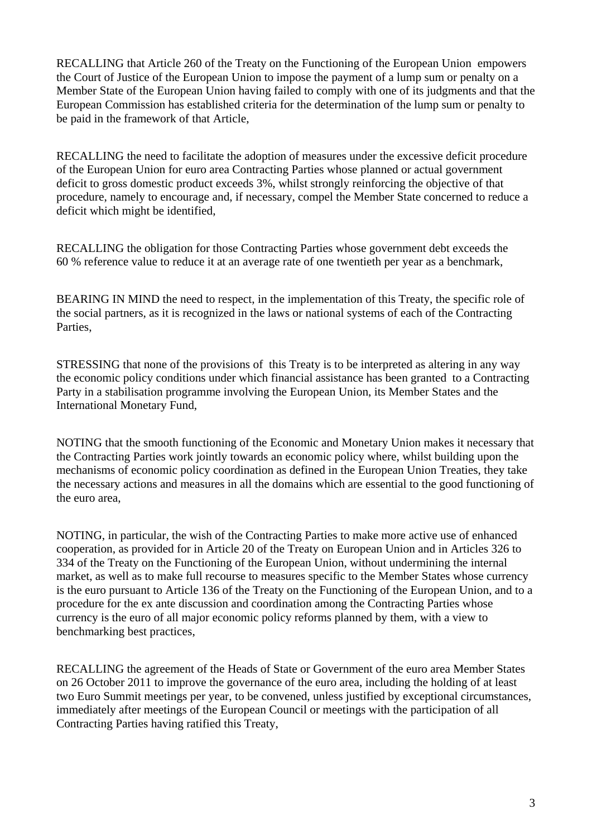RECALLING that Article 260 of the Treaty on the Functioning of the European Union empowers the Court of Justice of the European Union to impose the payment of a lump sum or penalty on a Member State of the European Union having failed to comply with one of its judgments and that the European Commission has established criteria for the determination of the lump sum or penalty to be paid in the framework of that Article,

RECALLING the need to facilitate the adoption of measures under the excessive deficit procedure of the European Union for euro area Contracting Parties whose planned or actual government deficit to gross domestic product exceeds 3%, whilst strongly reinforcing the objective of that procedure, namely to encourage and, if necessary, compel the Member State concerned to reduce a deficit which might be identified,

RECALLING the obligation for those Contracting Parties whose government debt exceeds the 60 % reference value to reduce it at an average rate of one twentieth per year as a benchmark,

BEARING IN MIND the need to respect, in the implementation of this Treaty, the specific role of the social partners, as it is recognized in the laws or national systems of each of the Contracting Parties,

STRESSING that none of the provisions of this Treaty is to be interpreted as altering in any way the economic policy conditions under which financial assistance has been granted to a Contracting Party in a stabilisation programme involving the European Union, its Member States and the International Monetary Fund,

NOTING that the smooth functioning of the Economic and Monetary Union makes it necessary that the Contracting Parties work jointly towards an economic policy where, whilst building upon the mechanisms of economic policy coordination as defined in the European Union Treaties, they take the necessary actions and measures in all the domains which are essential to the good functioning of the euro area,

NOTING, in particular, the wish of the Contracting Parties to make more active use of enhanced cooperation, as provided for in Article 20 of the Treaty on European Union and in Articles 326 to 334 of the Treaty on the Functioning of the European Union, without undermining the internal market, as well as to make full recourse to measures specific to the Member States whose currency is the euro pursuant to Article 136 of the Treaty on the Functioning of the European Union, and to a procedure for the ex ante discussion and coordination among the Contracting Parties whose currency is the euro of all major economic policy reforms planned by them, with a view to benchmarking best practices,

RECALLING the agreement of the Heads of State or Government of the euro area Member States on 26 October 2011 to improve the governance of the euro area, including the holding of at least two Euro Summit meetings per year, to be convened, unless justified by exceptional circumstances, immediately after meetings of the European Council or meetings with the participation of all Contracting Parties having ratified this Treaty,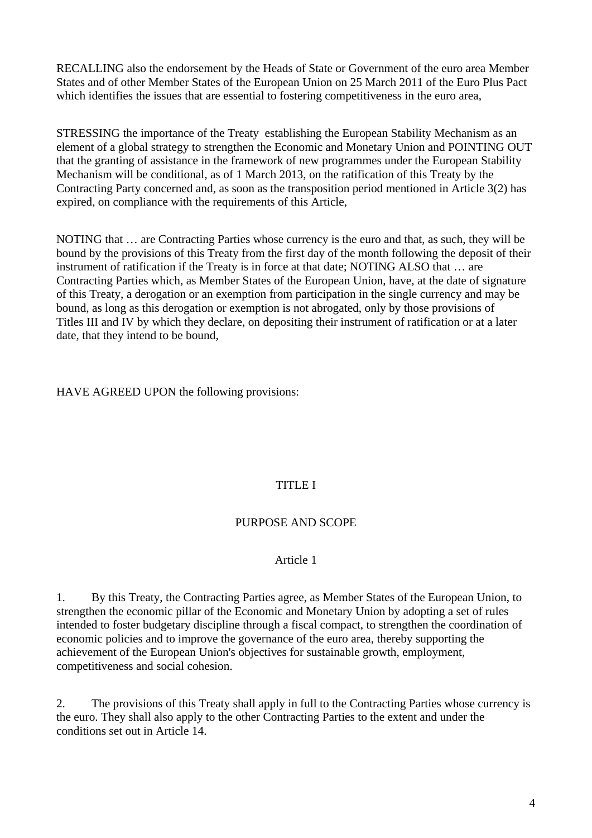RECALLING also the endorsement by the Heads of State or Government of the euro area Member States and of other Member States of the European Union on 25 March 2011 of the Euro Plus Pact which identifies the issues that are essential to fostering competitiveness in the euro area,

STRESSING the importance of the Treaty establishing the European Stability Mechanism as an element of a global strategy to strengthen the Economic and Monetary Union and POINTING OUT that the granting of assistance in the framework of new programmes under the European Stability Mechanism will be conditional, as of 1 March 2013, on the ratification of this Treaty by the Contracting Party concerned and, as soon as the transposition period mentioned in Article 3(2) has expired, on compliance with the requirements of this Article,

NOTING that … are Contracting Parties whose currency is the euro and that, as such, they will be bound by the provisions of this Treaty from the first day of the month following the deposit of their instrument of ratification if the Treaty is in force at that date; NOTING ALSO that … are Contracting Parties which, as Member States of the European Union, have, at the date of signature of this Treaty, a derogation or an exemption from participation in the single currency and may be bound, as long as this derogation or exemption is not abrogated, only by those provisions of Titles III and IV by which they declare, on depositing their instrument of ratification or at a later date, that they intend to be bound,

HAVE AGREED UPON the following provisions:

# TITLE I

# PURPOSE AND SCOPE

## Article 1

1. By this Treaty, the Contracting Parties agree, as Member States of the European Union, to strengthen the economic pillar of the Economic and Monetary Union by adopting a set of rules intended to foster budgetary discipline through a fiscal compact, to strengthen the coordination of economic policies and to improve the governance of the euro area, thereby supporting the achievement of the European Union's objectives for sustainable growth, employment, competitiveness and social cohesion.

2. The provisions of this Treaty shall apply in full to the Contracting Parties whose currency is the euro. They shall also apply to the other Contracting Parties to the extent and under the conditions set out in Article 14.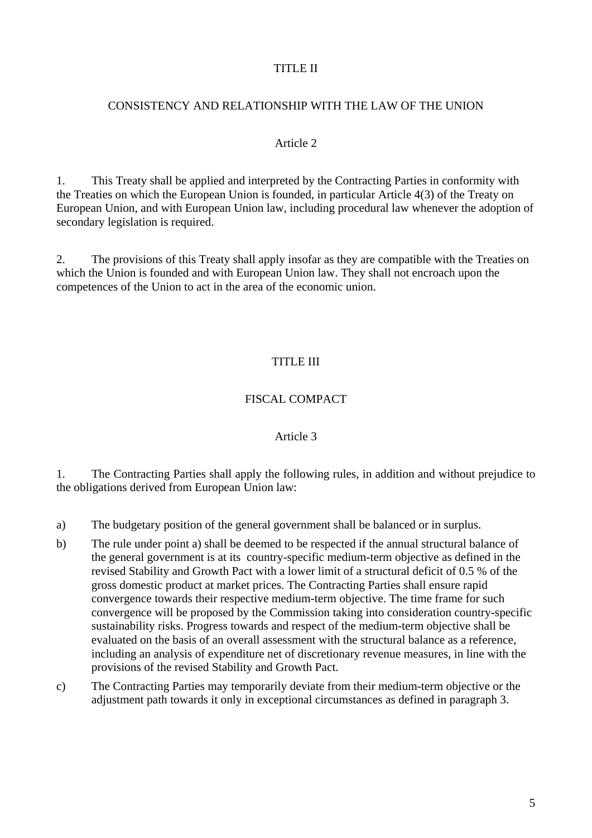#### TITLE II

# CONSISTENCY AND RELATIONSHIP WITH THE LAW OF THE UNION

#### Article 2

1. This Treaty shall be applied and interpreted by the Contracting Parties in conformity with the Treaties on which the European Union is founded, in particular Article 4(3) of the Treaty on European Union, and with European Union law, including procedural law whenever the adoption of secondary legislation is required.

2. The provisions of this Treaty shall apply insofar as they are compatible with the Treaties on which the Union is founded and with European Union law. They shall not encroach upon the competences of the Union to act in the area of the economic union.

# TITLE III

## FISCAL COMPACT

#### Article 3

1. The Contracting Parties shall apply the following rules, in addition and without prejudice to the obligations derived from European Union law:

- a) The budgetary position of the general government shall be balanced or in surplus.
- b) The rule under point a) shall be deemed to be respected if the annual structural balance of the general government is at its country-specific medium-term objective as defined in the revised Stability and Growth Pact with a lower limit of a structural deficit of 0.5 % of the gross domestic product at market prices. The Contracting Parties shall ensure rapid convergence towards their respective medium-term objective. The time frame for such convergence will be proposed by the Commission taking into consideration country-specific sustainability risks. Progress towards and respect of the medium-term objective shall be evaluated on the basis of an overall assessment with the structural balance as a reference, including an analysis of expenditure net of discretionary revenue measures, in line with the provisions of the revised Stability and Growth Pact.
- c) The Contracting Parties may temporarily deviate from their medium-term objective or the adjustment path towards it only in exceptional circumstances as defined in paragraph 3.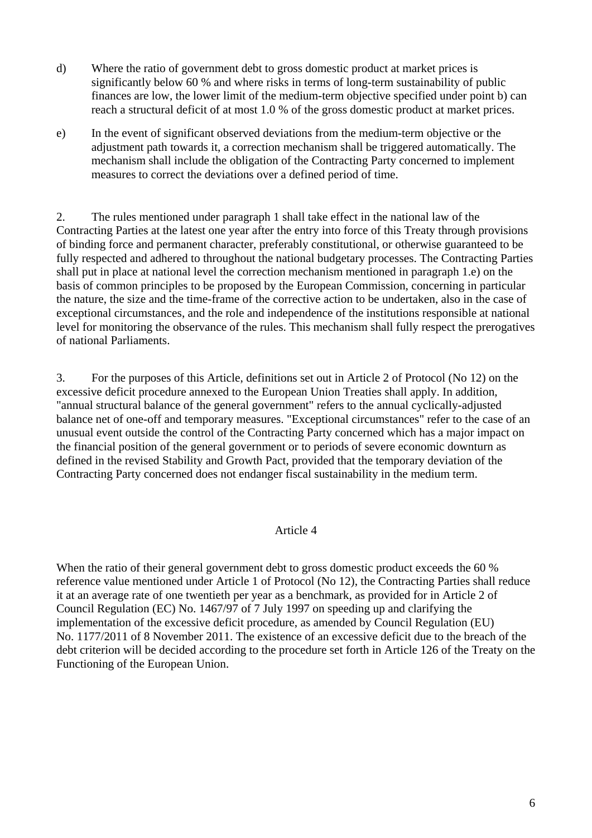- d) Where the ratio of government debt to gross domestic product at market prices is significantly below 60 % and where risks in terms of long-term sustainability of public finances are low, the lower limit of the medium-term objective specified under point b) can reach a structural deficit of at most 1.0 % of the gross domestic product at market prices.
- e) In the event of significant observed deviations from the medium-term objective or the adjustment path towards it, a correction mechanism shall be triggered automatically. The mechanism shall include the obligation of the Contracting Party concerned to implement measures to correct the deviations over a defined period of time.

2. The rules mentioned under paragraph 1 shall take effect in the national law of the Contracting Parties at the latest one year after the entry into force of this Treaty through provisions of binding force and permanent character, preferably constitutional, or otherwise guaranteed to be fully respected and adhered to throughout the national budgetary processes. The Contracting Parties shall put in place at national level the correction mechanism mentioned in paragraph 1.e) on the basis of common principles to be proposed by the European Commission, concerning in particular the nature, the size and the time-frame of the corrective action to be undertaken, also in the case of exceptional circumstances, and the role and independence of the institutions responsible at national level for monitoring the observance of the rules. This mechanism shall fully respect the prerogatives of national Parliaments.

3. For the purposes of this Article, definitions set out in Article 2 of Protocol (No 12) on the excessive deficit procedure annexed to the European Union Treaties shall apply. In addition, "annual structural balance of the general government" refers to the annual cyclically-adjusted balance net of one-off and temporary measures. "Exceptional circumstances" refer to the case of an unusual event outside the control of the Contracting Party concerned which has a major impact on the financial position of the general government or to periods of severe economic downturn as defined in the revised Stability and Growth Pact, provided that the temporary deviation of the Contracting Party concerned does not endanger fiscal sustainability in the medium term.

# Article 4

When the ratio of their general government debt to gross domestic product exceeds the 60 % reference value mentioned under Article 1 of Protocol (No 12), the Contracting Parties shall reduce it at an average rate of one twentieth per year as a benchmark, as provided for in Article 2 of Council Regulation (EC) No. 1467/97 of 7 July 1997 on speeding up and clarifying the implementation of the excessive deficit procedure, as amended by Council Regulation (EU) No. 1177/2011 of 8 November 2011. The existence of an excessive deficit due to the breach of the debt criterion will be decided according to the procedure set forth in Article 126 of the Treaty on the Functioning of the European Union.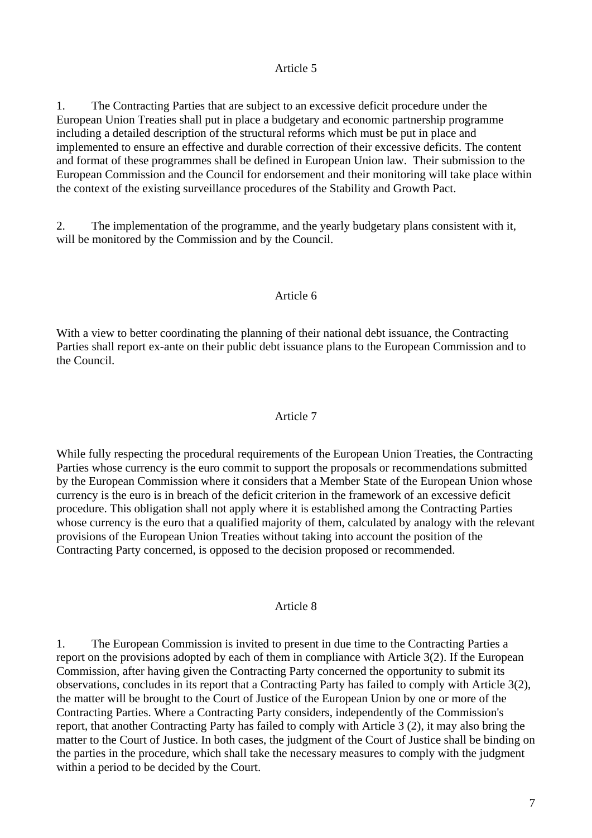## Article 5

1. The Contracting Parties that are subject to an excessive deficit procedure under the European Union Treaties shall put in place a budgetary and economic partnership programme including a detailed description of the structural reforms which must be put in place and implemented to ensure an effective and durable correction of their excessive deficits. The content and format of these programmes shall be defined in European Union law. Their submission to the European Commission and the Council for endorsement and their monitoring will take place within the context of the existing surveillance procedures of the Stability and Growth Pact.

2. The implementation of the programme, and the yearly budgetary plans consistent with it, will be monitored by the Commission and by the Council.

## Article 6

With a view to better coordinating the planning of their national debt issuance, the Contracting Parties shall report ex-ante on their public debt issuance plans to the European Commission and to the Council.

## Article 7

While fully respecting the procedural requirements of the European Union Treaties, the Contracting Parties whose currency is the euro commit to support the proposals or recommendations submitted by the European Commission where it considers that a Member State of the European Union whose currency is the euro is in breach of the deficit criterion in the framework of an excessive deficit procedure. This obligation shall not apply where it is established among the Contracting Parties whose currency is the euro that a qualified majority of them, calculated by analogy with the relevant provisions of the European Union Treaties without taking into account the position of the Contracting Party concerned, is opposed to the decision proposed or recommended.

## Article 8

1. The European Commission is invited to present in due time to the Contracting Parties a report on the provisions adopted by each of them in compliance with Article 3(2). If the European Commission, after having given the Contracting Party concerned the opportunity to submit its observations, concludes in its report that a Contracting Party has failed to comply with Article 3(2), the matter will be brought to the Court of Justice of the European Union by one or more of the Contracting Parties. Where a Contracting Party considers, independently of the Commission's report, that another Contracting Party has failed to comply with Article 3 (2), it may also bring the matter to the Court of Justice. In both cases, the judgment of the Court of Justice shall be binding on the parties in the procedure, which shall take the necessary measures to comply with the judgment within a period to be decided by the Court.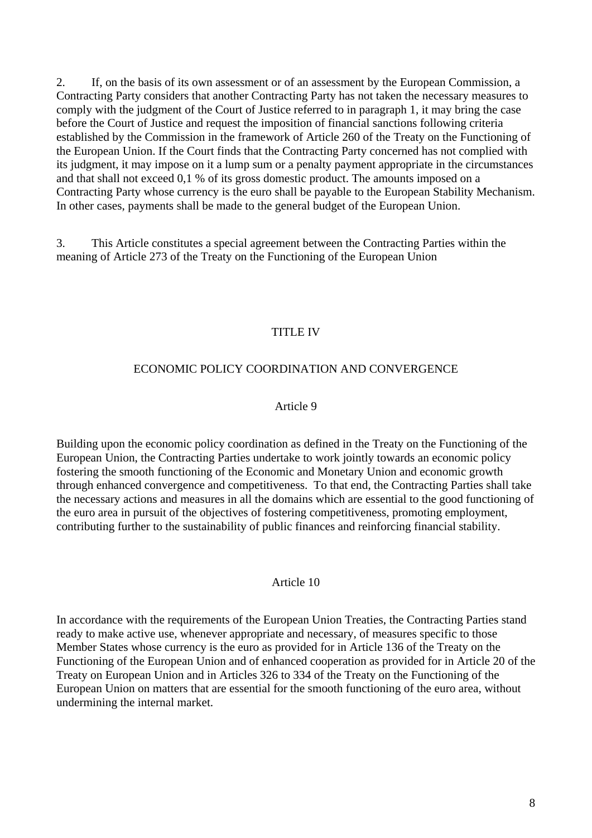2. If, on the basis of its own assessment or of an assessment by the European Commission, a Contracting Party considers that another Contracting Party has not taken the necessary measures to comply with the judgment of the Court of Justice referred to in paragraph 1, it may bring the case before the Court of Justice and request the imposition of financial sanctions following criteria established by the Commission in the framework of Article 260 of the Treaty on the Functioning of the European Union. If the Court finds that the Contracting Party concerned has not complied with its judgment, it may impose on it a lump sum or a penalty payment appropriate in the circumstances and that shall not exceed 0,1 % of its gross domestic product. The amounts imposed on a Contracting Party whose currency is the euro shall be payable to the European Stability Mechanism. In other cases, payments shall be made to the general budget of the European Union.

3. This Article constitutes a special agreement between the Contracting Parties within the meaning of Article 273 of the Treaty on the Functioning of the European Union

# TITLE IV

# ECONOMIC POLICY COORDINATION AND CONVERGENCE

#### Article 9

Building upon the economic policy coordination as defined in the Treaty on the Functioning of the European Union, the Contracting Parties undertake to work jointly towards an economic policy fostering the smooth functioning of the Economic and Monetary Union and economic growth through enhanced convergence and competitiveness. To that end, the Contracting Parties shall take the necessary actions and measures in all the domains which are essential to the good functioning of the euro area in pursuit of the objectives of fostering competitiveness, promoting employment, contributing further to the sustainability of public finances and reinforcing financial stability.

#### Article 10

In accordance with the requirements of the European Union Treaties, the Contracting Parties stand ready to make active use, whenever appropriate and necessary, of measures specific to those Member States whose currency is the euro as provided for in Article 136 of the Treaty on the Functioning of the European Union and of enhanced cooperation as provided for in Article 20 of the Treaty on European Union and in Articles 326 to 334 of the Treaty on the Functioning of the European Union on matters that are essential for the smooth functioning of the euro area, without undermining the internal market.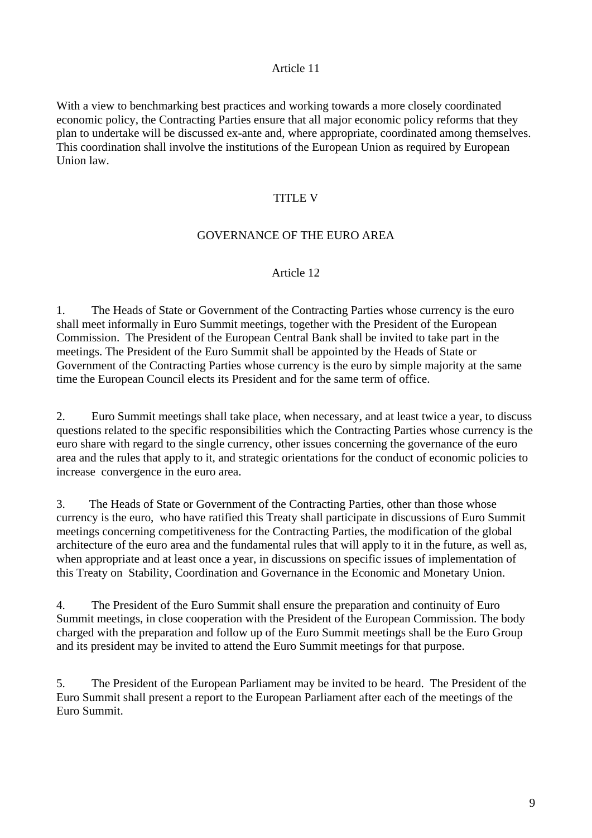#### Article 11

With a view to benchmarking best practices and working towards a more closely coordinated economic policy, the Contracting Parties ensure that all major economic policy reforms that they plan to undertake will be discussed ex-ante and, where appropriate, coordinated among themselves. This coordination shall involve the institutions of the European Union as required by European Union law.

## TITLE V

## GOVERNANCE OF THE EURO AREA

## Article 12

1. The Heads of State or Government of the Contracting Parties whose currency is the euro shall meet informally in Euro Summit meetings, together with the President of the European Commission. The President of the European Central Bank shall be invited to take part in the meetings. The President of the Euro Summit shall be appointed by the Heads of State or Government of the Contracting Parties whose currency is the euro by simple majority at the same time the European Council elects its President and for the same term of office.

2. Euro Summit meetings shall take place, when necessary, and at least twice a year, to discuss questions related to the specific responsibilities which the Contracting Parties whose currency is the euro share with regard to the single currency, other issues concerning the governance of the euro area and the rules that apply to it, and strategic orientations for the conduct of economic policies to increase convergence in the euro area.

3. The Heads of State or Government of the Contracting Parties, other than those whose currency is the euro, who have ratified this Treaty shall participate in discussions of Euro Summit meetings concerning competitiveness for the Contracting Parties, the modification of the global architecture of the euro area and the fundamental rules that will apply to it in the future, as well as, when appropriate and at least once a year, in discussions on specific issues of implementation of this Treaty on Stability, Coordination and Governance in the Economic and Monetary Union.

4. The President of the Euro Summit shall ensure the preparation and continuity of Euro Summit meetings, in close cooperation with the President of the European Commission. The body charged with the preparation and follow up of the Euro Summit meetings shall be the Euro Group and its president may be invited to attend the Euro Summit meetings for that purpose.

5. The President of the European Parliament may be invited to be heard. The President of the Euro Summit shall present a report to the European Parliament after each of the meetings of the Euro Summit.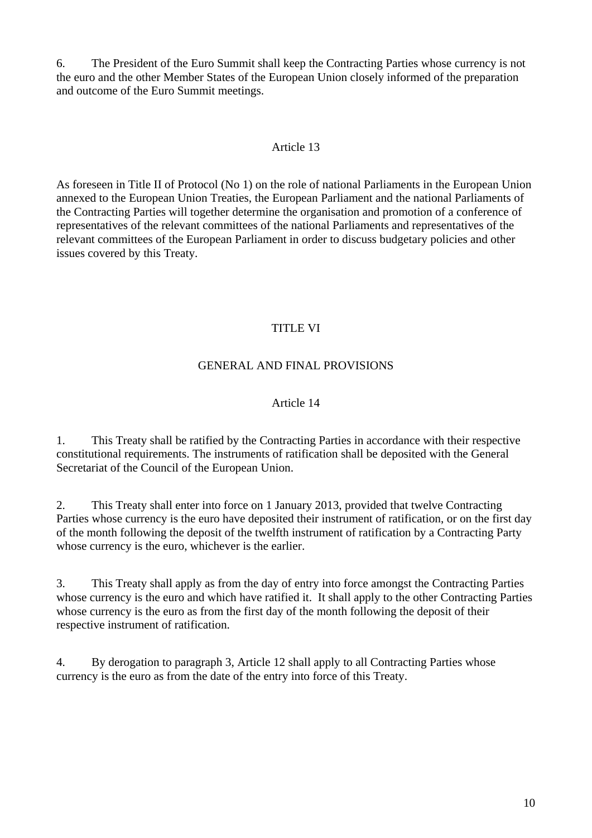6. The President of the Euro Summit shall keep the Contracting Parties whose currency is not the euro and the other Member States of the European Union closely informed of the preparation and outcome of the Euro Summit meetings.

## Article 13

As foreseen in Title II of Protocol (No 1) on the role of national Parliaments in the European Union annexed to the European Union Treaties, the European Parliament and the national Parliaments of the Contracting Parties will together determine the organisation and promotion of a conference of representatives of the relevant committees of the national Parliaments and representatives of the relevant committees of the European Parliament in order to discuss budgetary policies and other issues covered by this Treaty.

# TITLE VI

# GENERAL AND FINAL PROVISIONS

# Article 14

1. This Treaty shall be ratified by the Contracting Parties in accordance with their respective constitutional requirements. The instruments of ratification shall be deposited with the General Secretariat of the Council of the European Union.

2. This Treaty shall enter into force on 1 January 2013, provided that twelve Contracting Parties whose currency is the euro have deposited their instrument of ratification, or on the first day of the month following the deposit of the twelfth instrument of ratification by a Contracting Party whose currency is the euro, whichever is the earlier.

3. This Treaty shall apply as from the day of entry into force amongst the Contracting Parties whose currency is the euro and which have ratified it. It shall apply to the other Contracting Parties whose currency is the euro as from the first day of the month following the deposit of their respective instrument of ratification.

4. By derogation to paragraph 3, Article 12 shall apply to all Contracting Parties whose currency is the euro as from the date of the entry into force of this Treaty.